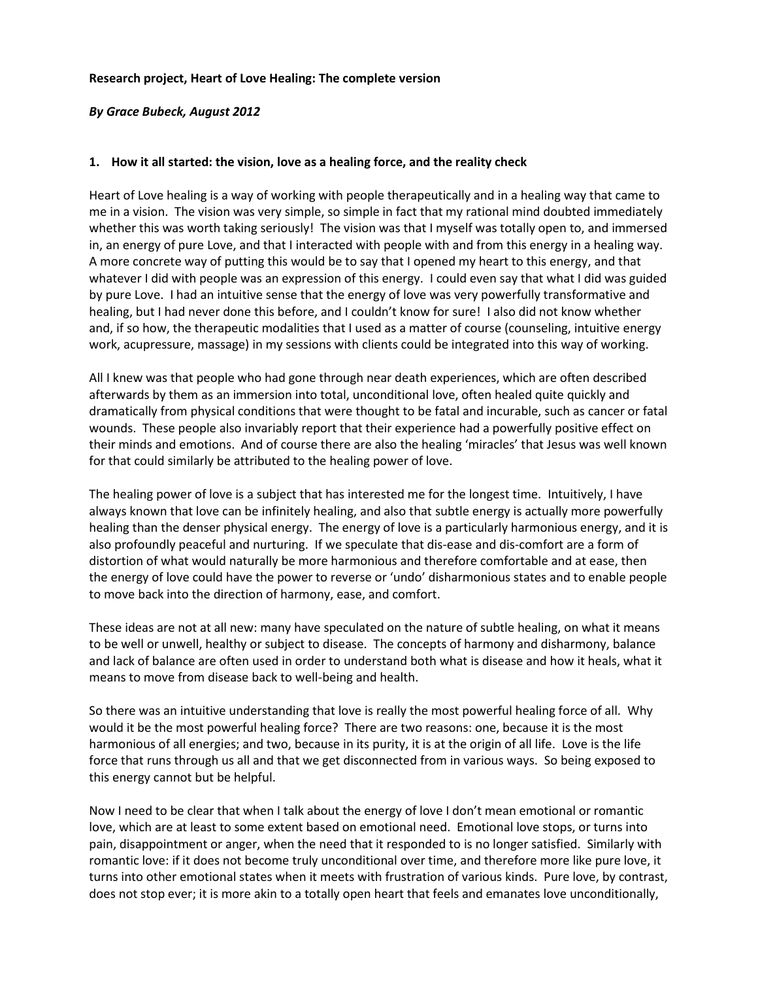#### **Research project, Heart of Love Healing: The complete version**

#### *By Grace Bubeck, August 2012*

#### **1. How it all started: the vision, love as a healing force, and the reality check**

Heart of Love healing is a way of working with people therapeutically and in a healing way that came to me in a vision. The vision was very simple, so simple in fact that my rational mind doubted immediately whether this was worth taking seriously! The vision was that I myself was totally open to, and immersed in, an energy of pure Love, and that I interacted with people with and from this energy in a healing way. A more concrete way of putting this would be to say that I opened my heart to this energy, and that whatever I did with people was an expression of this energy. I could even say that what I did was guided by pure Love. I had an intuitive sense that the energy of love was very powerfully transformative and healing, but I had never done this before, and I couldn't know for sure! I also did not know whether and, if so how, the therapeutic modalities that I used as a matter of course (counseling, intuitive energy work, acupressure, massage) in my sessions with clients could be integrated into this way of working.

All I knew was that people who had gone through near death experiences, which are often described afterwards by them as an immersion into total, unconditional love, often healed quite quickly and dramatically from physical conditions that were thought to be fatal and incurable, such as cancer or fatal wounds. These people also invariably report that their experience had a powerfully positive effect on their minds and emotions. And of course there are also the healing 'miracles' that Jesus was well known for that could similarly be attributed to the healing power of love.

The healing power of love is a subject that has interested me for the longest time. Intuitively, I have always known that love can be infinitely healing, and also that subtle energy is actually more powerfully healing than the denser physical energy. The energy of love is a particularly harmonious energy, and it is also profoundly peaceful and nurturing. If we speculate that dis-ease and dis-comfort are a form of distortion of what would naturally be more harmonious and therefore comfortable and at ease, then the energy of love could have the power to reverse or 'undo' disharmonious states and to enable people to move back into the direction of harmony, ease, and comfort.

These ideas are not at all new: many have speculated on the nature of subtle healing, on what it means to be well or unwell, healthy or subject to disease. The concepts of harmony and disharmony, balance and lack of balance are often used in order to understand both what is disease and how it heals, what it means to move from disease back to well-being and health.

So there was an intuitive understanding that love is really the most powerful healing force of all. Why would it be the most powerful healing force? There are two reasons: one, because it is the most harmonious of all energies; and two, because in its purity, it is at the origin of all life. Love is the life force that runs through us all and that we get disconnected from in various ways. So being exposed to this energy cannot but be helpful.

Now I need to be clear that when I talk about the energy of love I don't mean emotional or romantic love, which are at least to some extent based on emotional need. Emotional love stops, or turns into pain, disappointment or anger, when the need that it responded to is no longer satisfied. Similarly with romantic love: if it does not become truly unconditional over time, and therefore more like pure love, it turns into other emotional states when it meets with frustration of various kinds. Pure love, by contrast, does not stop ever; it is more akin to a totally open heart that feels and emanates love unconditionally,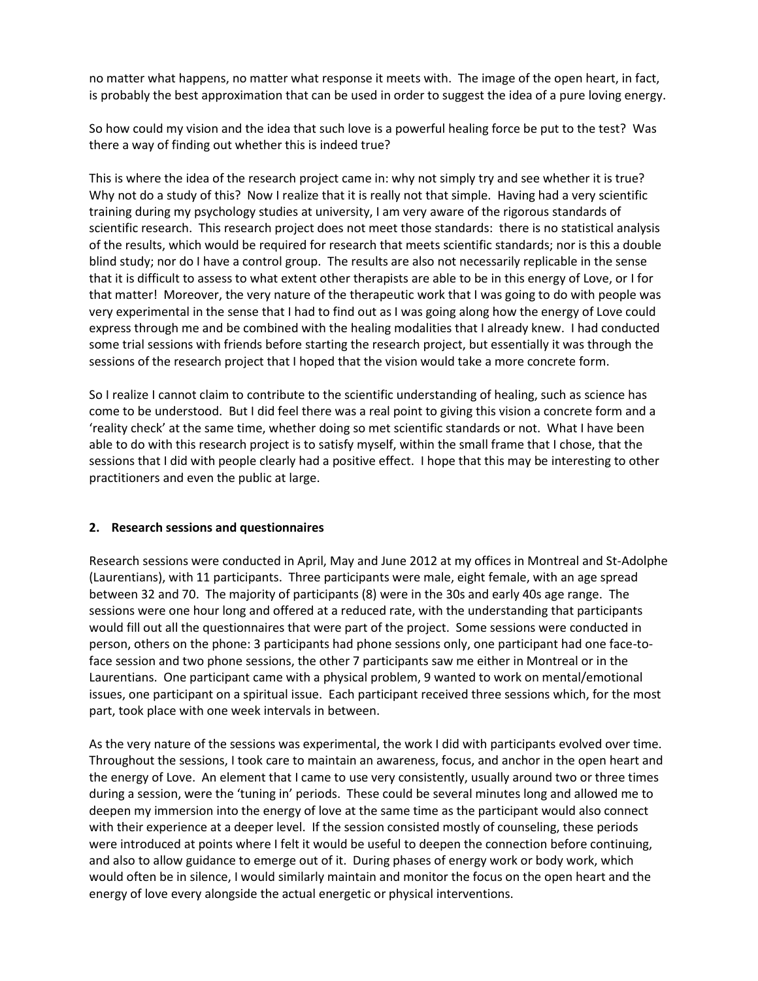no matter what happens, no matter what response it meets with. The image of the open heart, in fact, is probably the best approximation that can be used in order to suggest the idea of a pure loving energy.

So how could my vision and the idea that such love is a powerful healing force be put to the test? Was there a way of finding out whether this is indeed true?

This is where the idea of the research project came in: why not simply try and see whether it is true? Why not do a study of this? Now I realize that it is really not that simple. Having had a very scientific training during my psychology studies at university, I am very aware of the rigorous standards of scientific research. This research project does not meet those standards: there is no statistical analysis of the results, which would be required for research that meets scientific standards; nor is this a double blind study; nor do I have a control group. The results are also not necessarily replicable in the sense that it is difficult to assess to what extent other therapists are able to be in this energy of Love, or I for that matter! Moreover, the very nature of the therapeutic work that I was going to do with people was very experimental in the sense that I had to find out as I was going along how the energy of Love could express through me and be combined with the healing modalities that I already knew. I had conducted some trial sessions with friends before starting the research project, but essentially it was through the sessions of the research project that I hoped that the vision would take a more concrete form.

So I realize I cannot claim to contribute to the scientific understanding of healing, such as science has come to be understood. But I did feel there was a real point to giving this vision a concrete form and a 'reality check' at the same time, whether doing so met scientific standards or not. What I have been able to do with this research project is to satisfy myself, within the small frame that I chose, that the sessions that I did with people clearly had a positive effect. I hope that this may be interesting to other practitioners and even the public at large.

#### **2. Research sessions and questionnaires**

Research sessions were conducted in April, May and June 2012 at my offices in Montreal and St-Adolphe (Laurentians), with 11 participants. Three participants were male, eight female, with an age spread between 32 and 70. The majority of participants (8) were in the 30s and early 40s age range. The sessions were one hour long and offered at a reduced rate, with the understanding that participants would fill out all the questionnaires that were part of the project. Some sessions were conducted in person, others on the phone: 3 participants had phone sessions only, one participant had one face-toface session and two phone sessions, the other 7 participants saw me either in Montreal or in the Laurentians. One participant came with a physical problem, 9 wanted to work on mental/emotional issues, one participant on a spiritual issue. Each participant received three sessions which, for the most part, took place with one week intervals in between.

As the very nature of the sessions was experimental, the work I did with participants evolved over time. Throughout the sessions, I took care to maintain an awareness, focus, and anchor in the open heart and the energy of Love. An element that I came to use very consistently, usually around two or three times during a session, were the 'tuning in' periods. These could be several minutes long and allowed me to deepen my immersion into the energy of love at the same time as the participant would also connect with their experience at a deeper level. If the session consisted mostly of counseling, these periods were introduced at points where I felt it would be useful to deepen the connection before continuing, and also to allow guidance to emerge out of it. During phases of energy work or body work, which would often be in silence, I would similarly maintain and monitor the focus on the open heart and the energy of love every alongside the actual energetic or physical interventions.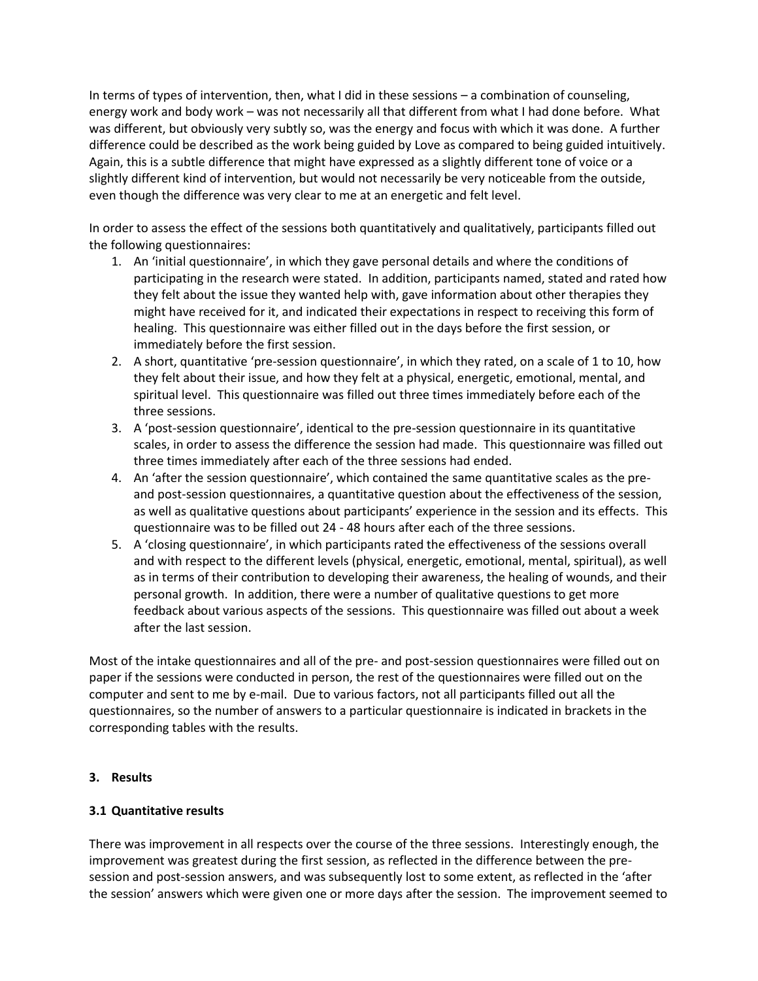In terms of types of intervention, then, what I did in these sessions – a combination of counseling, energy work and body work – was not necessarily all that different from what I had done before. What was different, but obviously very subtly so, was the energy and focus with which it was done. A further difference could be described as the work being guided by Love as compared to being guided intuitively. Again, this is a subtle difference that might have expressed as a slightly different tone of voice or a slightly different kind of intervention, but would not necessarily be very noticeable from the outside, even though the difference was very clear to me at an energetic and felt level.

In order to assess the effect of the sessions both quantitatively and qualitatively, participants filled out the following questionnaires:

- 1. An 'initial questionnaire', in which they gave personal details and where the conditions of participating in the research were stated. In addition, participants named, stated and rated how they felt about the issue they wanted help with, gave information about other therapies they might have received for it, and indicated their expectations in respect to receiving this form of healing. This questionnaire was either filled out in the days before the first session, or immediately before the first session.
- 2. A short, quantitative 'pre-session questionnaire', in which they rated, on a scale of 1 to 10, how they felt about their issue, and how they felt at a physical, energetic, emotional, mental, and spiritual level. This questionnaire was filled out three times immediately before each of the three sessions.
- 3. A 'post-session questionnaire', identical to the pre-session questionnaire in its quantitative scales, in order to assess the difference the session had made. This questionnaire was filled out three times immediately after each of the three sessions had ended.
- 4. An 'after the session questionnaire', which contained the same quantitative scales as the preand post-session questionnaires, a quantitative question about the effectiveness of the session, as well as qualitative questions about participants' experience in the session and its effects. This questionnaire was to be filled out 24 - 48 hours after each of the three sessions.
- 5. A 'closing questionnaire', in which participants rated the effectiveness of the sessions overall and with respect to the different levels (physical, energetic, emotional, mental, spiritual), as well as in terms of their contribution to developing their awareness, the healing of wounds, and their personal growth. In addition, there were a number of qualitative questions to get more feedback about various aspects of the sessions. This questionnaire was filled out about a week after the last session.

Most of the intake questionnaires and all of the pre- and post-session questionnaires were filled out on paper if the sessions were conducted in person, the rest of the questionnaires were filled out on the computer and sent to me by e-mail. Due to various factors, not all participants filled out all the questionnaires, so the number of answers to a particular questionnaire is indicated in brackets in the corresponding tables with the results.

#### **3. Results**

## **3.1 Quantitative results**

There was improvement in all respects over the course of the three sessions. Interestingly enough, the improvement was greatest during the first session, as reflected in the difference between the presession and post-session answers, and was subsequently lost to some extent, as reflected in the 'after the session' answers which were given one or more days after the session. The improvement seemed to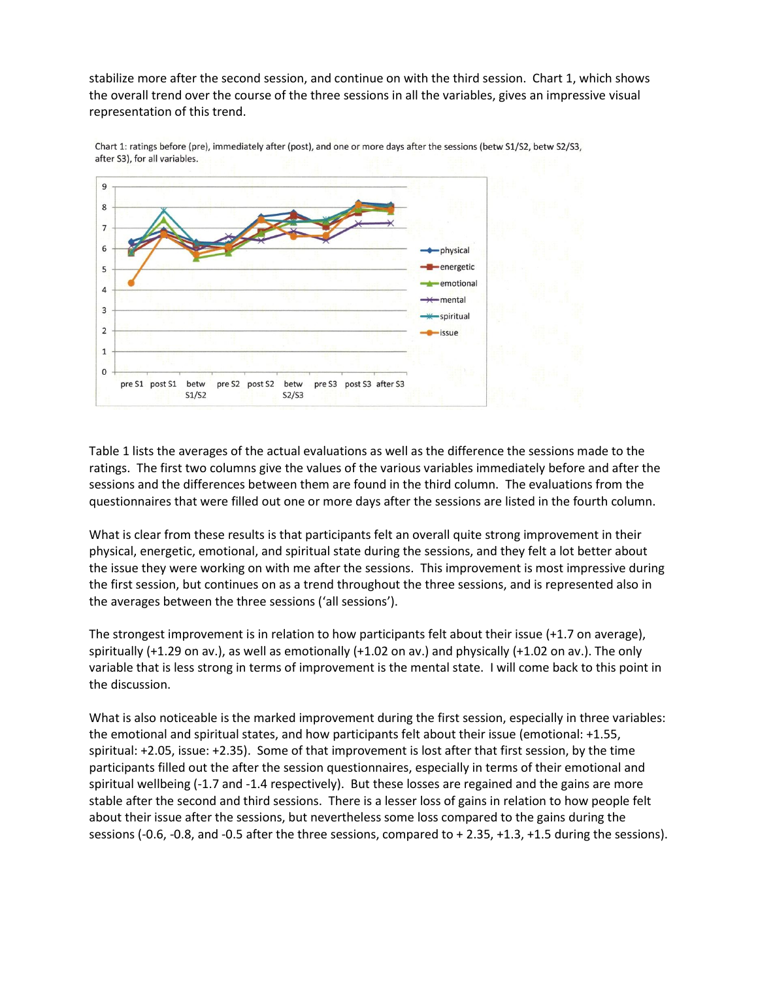stabilize more after the second session, and continue on with the third session. Chart 1, which shows the overall trend over the course of the three sessions in all the variables, gives an impressive visual representation of this trend.



Chart 1: ratings before (pre), immediately after (post), and one or more days after the sessions (betw S1/S2, betw S2/S3, after S3), for all variables.

Table 1 lists the averages of the actual evaluations as well as the difference the sessions made to the ratings. The first two columns give the values of the various variables immediately before and after the sessions and the differences between them are found in the third column. The evaluations from the questionnaires that were filled out one or more days after the sessions are listed in the fourth column.

What is clear from these results is that participants felt an overall quite strong improvement in their physical, energetic, emotional, and spiritual state during the sessions, and they felt a lot better about the issue they were working on with me after the sessions. This improvement is most impressive during the first session, but continues on as a trend throughout the three sessions, and is represented also in the averages between the three sessions ('all sessions').

The strongest improvement is in relation to how participants felt about their issue (+1.7 on average), spiritually (+1.29 on av.), as well as emotionally (+1.02 on av.) and physically (+1.02 on av.). The only variable that is less strong in terms of improvement is the mental state. I will come back to this point in the discussion.

What is also noticeable is the marked improvement during the first session, especially in three variables: the emotional and spiritual states, and how participants felt about their issue (emotional: +1.55, spiritual: +2.05, issue: +2.35). Some of that improvement is lost after that first session, by the time participants filled out the after the session questionnaires, especially in terms of their emotional and spiritual wellbeing (-1.7 and -1.4 respectively). But these losses are regained and the gains are more stable after the second and third sessions. There is a lesser loss of gains in relation to how people felt about their issue after the sessions, but nevertheless some loss compared to the gains during the sessions (-0.6, -0.8, and -0.5 after the three sessions, compared to + 2.35, +1.3, +1.5 during the sessions).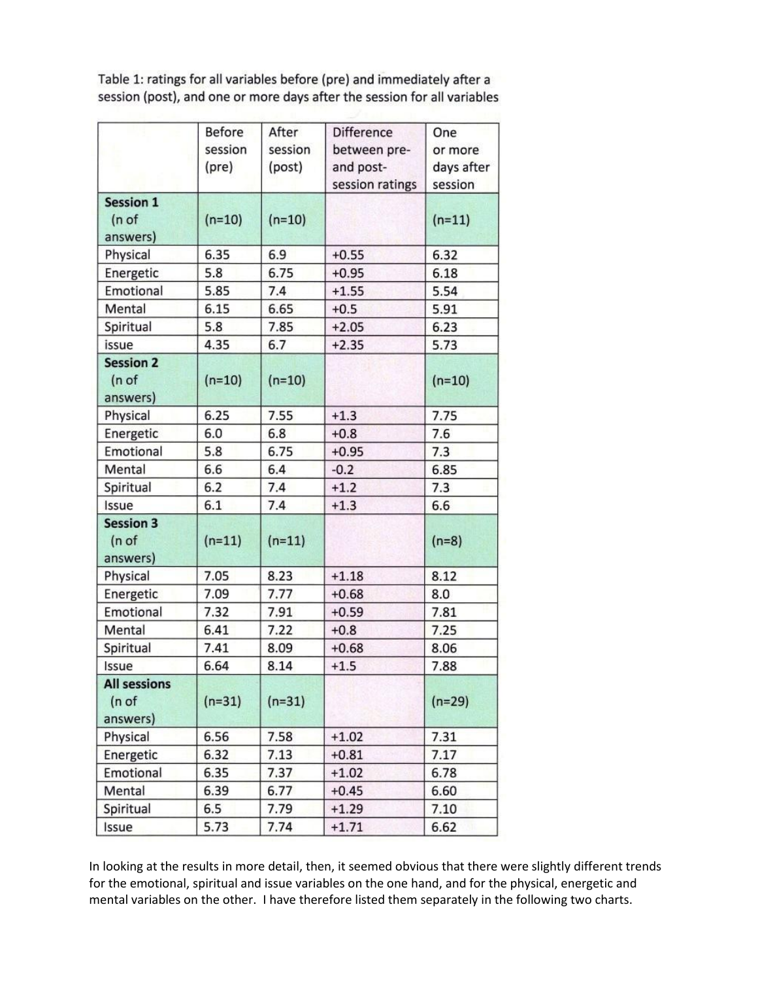Table 1: ratings for all variables before (pre) and immediately after a session (post), and one or more days after the session for all variables

|                                          | <b>Before</b> | After    | <b>Difference</b> | One        |  |
|------------------------------------------|---------------|----------|-------------------|------------|--|
|                                          | session       | session  | between pre-      | or more    |  |
|                                          | (pre)         | (post)   | and post-         | days after |  |
|                                          |               |          | session ratings   | session    |  |
| <b>Session 1</b><br>(n of<br>answers)    | $(n=10)$      | $(n=10)$ |                   | $(n=11)$   |  |
| Physical                                 | 6.35          | 6.9      | $+0.55$           | 6.32       |  |
| Energetic                                | 5.8           | 6.75     | $+0.95$           | 6.18       |  |
| Emotional                                | 5.85          | 7.4      | $+1.55$           | 5.54       |  |
| Mental                                   | 6.15          | 6.65     | $+0.5$            | 5.91       |  |
| Spiritual                                | 5.8           | 7.85     | $+2.05$           | 6.23       |  |
| issue                                    | 4.35          | 6.7      | $+2.35$           | 5.73       |  |
| <b>Session 2</b><br>( n  of<br>answers)  | $(n=10)$      | $(n=10)$ |                   | $(n=10)$   |  |
| Physical                                 | 6.25          |          | $+1.3$            | 7.75       |  |
| Energetic                                | 6.0           | 6.8      | $+0.8$            | 7.6        |  |
| Emotional                                | 5.8           | 6.75     | $+0.95$           | 7.3        |  |
| Mental                                   | 6.6           | 6.4      | $-0.2$            | 6.85       |  |
| Spiritual                                | 6.2           | 7.4      | $+1.2$            | 7.3        |  |
| Issue                                    | 6.1           | 7.4      | $+1.3$            | 6.6        |  |
| <b>Session 3</b><br>(n of<br>answers)    | $(n=11)$      | $(n=11)$ |                   | $(n=8)$    |  |
| Physical                                 | 7.05          | 8.23     | $+1.18$           | 8.12       |  |
| Energetic                                | 7.09          | 7.77     | $+0.68$           | 8.0        |  |
| Emotional                                | 7.32          | 7.91     | $+0.59$           | 7.81       |  |
| Mental                                   | 6.41          | 7.22     | $+0.8$            | 7.25       |  |
| Spiritual                                | 7.41          | 8.09     | $+0.68$           | 8.06       |  |
| Issue                                    | 6.64          | 8.14     | $+1.5$            | 7.88       |  |
| <b>All sessions</b><br>(n of<br>answers) | $(n=31)$      | $(n=31)$ |                   | $(n=29)$   |  |
| Physical                                 | 6.56          | 7.58     | $+1.02$           | 7.31       |  |
| Energetic                                | 6.32          | 7.13     | $+0.81$           | 7.17       |  |
| Emotional                                | 6.35          | 7.37     | $+1.02$           | 6.78       |  |
| Mental                                   | 6.39          | 6.77     | $+0.45$           | 6.60       |  |
| Spiritual                                | 6.5           | 7.79     | $+1.29$           | 7.10       |  |
| Issue                                    | 5.73          | 7.74     | $+1.71$           | 6.62       |  |

In looking at the results in more detail, then, it seemed obvious that there were slightly different trends for the emotional, spiritual and issue variables on the one hand, and for the physical, energetic and mental variables on the other. I have therefore listed them separately in the following two charts.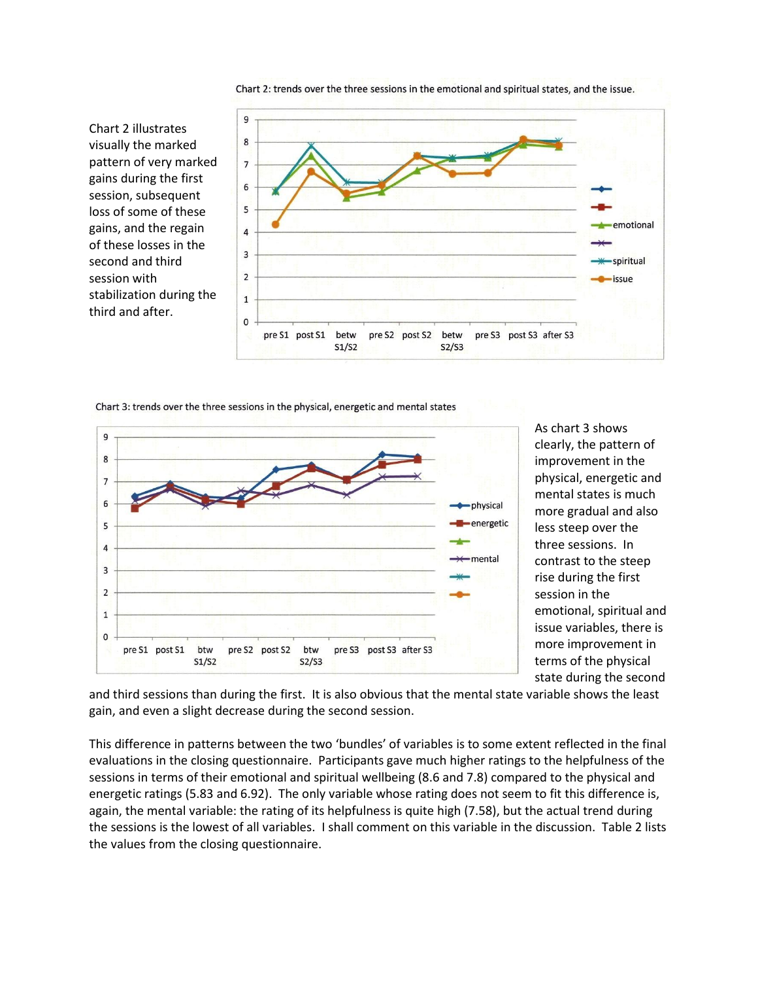

Chart 2: trends over the three sessions in the emotional and spiritual states, and the issue.

Chart 3: trends over the three sessions in the physical, energetic and mental states

Chart 2 illustrates visually the marked

gains during the first session, subsequent loss of some of these gains, and the regain of these losses in the second and third session with

third and after.



As chart 3 shows clearly, the pattern of improvement in the physical, energetic and mental states is much more gradual and also less steep over the three sessions. In contrast to the steep rise during the first session in the emotional, spiritual and issue variables, there is more improvement in terms of the physical state during the second

and third sessions than during the first. It is also obvious that the mental state variable shows the least gain, and even a slight decrease during the second session.

This difference in patterns between the two 'bundles' of variables is to some extent reflected in the final evaluations in the closing questionnaire. Participants gave much higher ratings to the helpfulness of the sessions in terms of their emotional and spiritual wellbeing (8.6 and 7.8) compared to the physical and energetic ratings (5.83 and 6.92). The only variable whose rating does not seem to fit this difference is, again, the mental variable: the rating of its helpfulness is quite high (7.58), but the actual trend during the sessions is the lowest of all variables. I shall comment on this variable in the discussion. Table 2 lists the values from the closing questionnaire.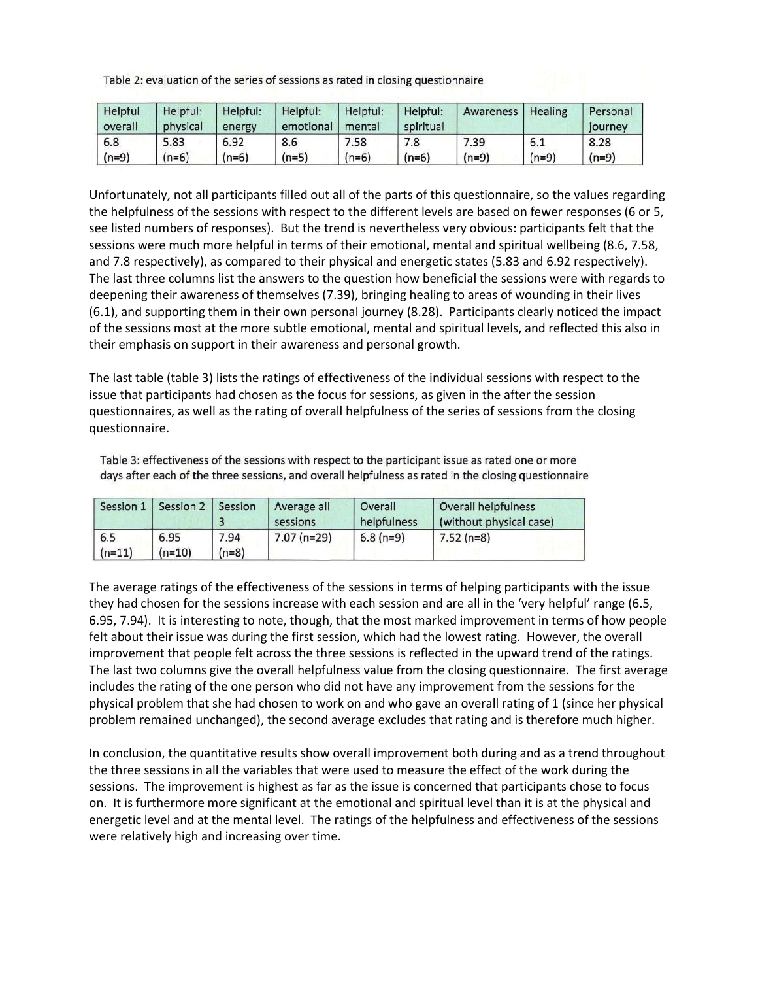Table 2: evaluation of the series of sessions as rated in closing questionnaire

| Helpful<br>overall | Helpful:<br>physical | Helpful:<br>energy | Helpful:<br>emotional | Helpful:<br>mental | Helpful:<br>spiritual | Awareness | Healing | Personal<br>journey |
|--------------------|----------------------|--------------------|-----------------------|--------------------|-----------------------|-----------|---------|---------------------|
| 6.8                | 5.83                 | 6.92               | 8.6                   | 7.58               | 7.8                   | 7.39      | 6.1     | 8.28                |
| $(n=9)$            | $(n=6)$              | (n=6)              | $(n=5)$               | $(n=6)$            | $(n=6)$               | $(n=9)$   | $(n=9)$ | $(n=9)$             |

Unfortunately, not all participants filled out all of the parts of this questionnaire, so the values regarding the helpfulness of the sessions with respect to the different levels are based on fewer responses (6 or 5, see listed numbers of responses). But the trend is nevertheless very obvious: participants felt that the sessions were much more helpful in terms of their emotional, mental and spiritual wellbeing (8.6, 7.58, and 7.8 respectively), as compared to their physical and energetic states (5.83 and 6.92 respectively). The last three columns list the answers to the question how beneficial the sessions were with regards to deepening their awareness of themselves (7.39), bringing healing to areas of wounding in their lives (6.1), and supporting them in their own personal journey (8.28). Participants clearly noticed the impact of the sessions most at the more subtle emotional, mental and spiritual levels, and reflected this also in their emphasis on support in their awareness and personal growth.

The last table (table 3) lists the ratings of effectiveness of the individual sessions with respect to the issue that participants had chosen as the focus for sessions, as given in the after the session questionnaires, as well as the rating of overall helpfulness of the series of sessions from the closing questionnaire.

Table 3: effectiveness of the sessions with respect to the participant issue as rated one or more days after each of the three sessions, and overall helpfulness as rated in the closing questionnaire

| Session 1       | Session 2 Session |                 | Average all<br>sessions | Overall<br>helpfulness | Overall helpfulness<br>(without physical case) |
|-----------------|-------------------|-----------------|-------------------------|------------------------|------------------------------------------------|
| 6.5<br>$(n=11)$ | 6.95<br>$(n=10)$  | 7.94<br>$(n=8)$ | $7.07$ (n=29)           | $6.8(n=9)$             | $7.52(n=8)$                                    |

The average ratings of the effectiveness of the sessions in terms of helping participants with the issue they had chosen for the sessions increase with each session and are all in the 'very helpful' range (6.5, 6.95, 7.94). It is interesting to note, though, that the most marked improvement in terms of how people felt about their issue was during the first session, which had the lowest rating. However, the overall improvement that people felt across the three sessions is reflected in the upward trend of the ratings. The last two columns give the overall helpfulness value from the closing questionnaire. The first average includes the rating of the one person who did not have any improvement from the sessions for the physical problem that she had chosen to work on and who gave an overall rating of 1 (since her physical problem remained unchanged), the second average excludes that rating and is therefore much higher.

In conclusion, the quantitative results show overall improvement both during and as a trend throughout the three sessions in all the variables that were used to measure the effect of the work during the sessions. The improvement is highest as far as the issue is concerned that participants chose to focus on. It is furthermore more significant at the emotional and spiritual level than it is at the physical and energetic level and at the mental level. The ratings of the helpfulness and effectiveness of the sessions were relatively high and increasing over time.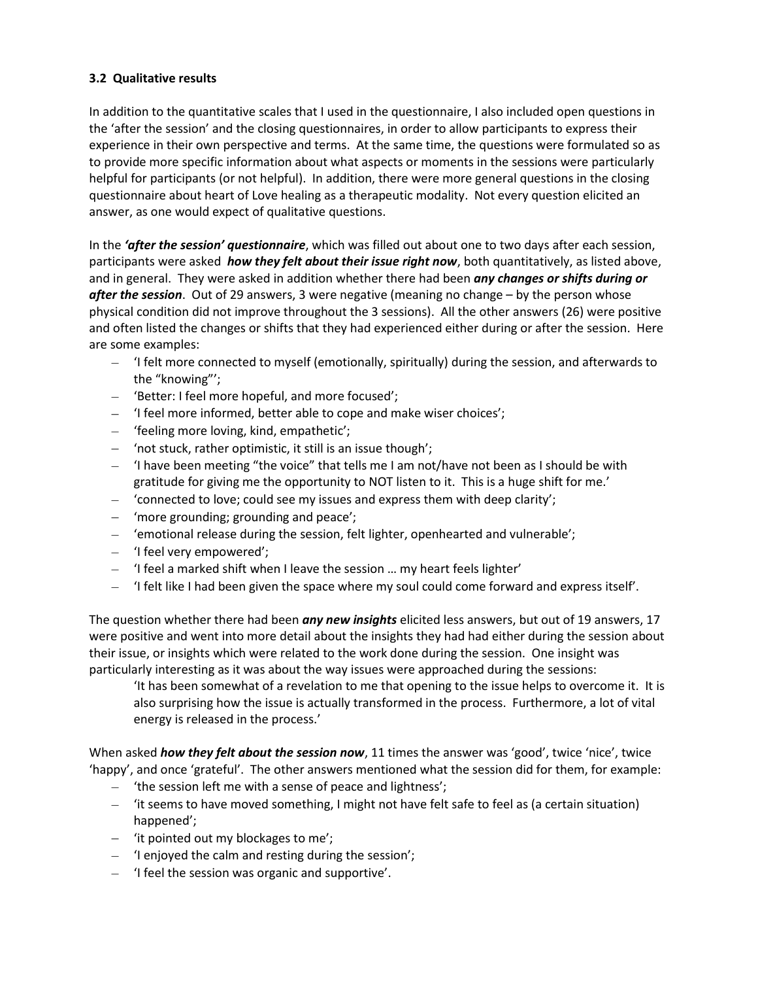### **3.2 Qualitative results**

In addition to the quantitative scales that I used in the questionnaire, I also included open questions in the 'after the session' and the closing questionnaires, in order to allow participants to express their experience in their own perspective and terms. At the same time, the questions were formulated so as to provide more specific information about what aspects or moments in the sessions were particularly helpful for participants (or not helpful). In addition, there were more general questions in the closing questionnaire about heart of Love healing as a therapeutic modality. Not every question elicited an answer, as one would expect of qualitative questions.

In the *'after the session' questionnaire*, which was filled out about one to two days after each session, participants were asked *how they felt about their issue right now*, both quantitatively, as listed above, and in general. They were asked in addition whether there had been *any changes or shifts during or after the session*. Out of 29 answers, 3 were negative (meaning no change – by the person whose physical condition did not improve throughout the 3 sessions). All the other answers (26) were positive and often listed the changes or shifts that they had experienced either during or after the session. Here are some examples:

- 'I felt more connected to myself (emotionally, spiritually) during the session, and afterwards to the "knowing"';
- 'Better: I feel more hopeful, and more focused';
- 'I feel more informed, better able to cope and make wiser choices';
- 'feeling more loving, kind, empathetic';
- 'not stuck, rather optimistic, it still is an issue though';
- $-$  'I have been meeting "the voice" that tells me I am not/have not been as I should be with gratitude for giving me the opportunity to NOT listen to it. This is a huge shift for me.'
- 'connected to love; could see my issues and express them with deep clarity';
- 'more grounding; grounding and peace';
- 'emotional release during the session, felt lighter, openhearted and vulnerable';
- 'I feel very empowered';
- 'I feel a marked shift when I leave the session ... my heart feels lighter'
- 'I felt like I had been given the space where my soul could come forward and express itself'.

The question whether there had been *any new insights* elicited less answers, but out of 19 answers, 17 were positive and went into more detail about the insights they had had either during the session about their issue, or insights which were related to the work done during the session. One insight was particularly interesting as it was about the way issues were approached during the sessions:

'It has been somewhat of a revelation to me that opening to the issue helps to overcome it. It is also surprising how the issue is actually transformed in the process. Furthermore, a lot of vital energy is released in the process.'

When asked *how they felt about the session now*, 11 times the answer was 'good', twice 'nice', twice 'happy', and once 'grateful'. The other answers mentioned what the session did for them, for example:

- 'the session left me with a sense of peace and lightness';
- 'it seems to have moved something, I might not have felt safe to feel as (a certain situation) happened';
- 'it pointed out my blockages to me';
- 'I enjoyed the calm and resting during the session';
- $-$  'I feel the session was organic and supportive'.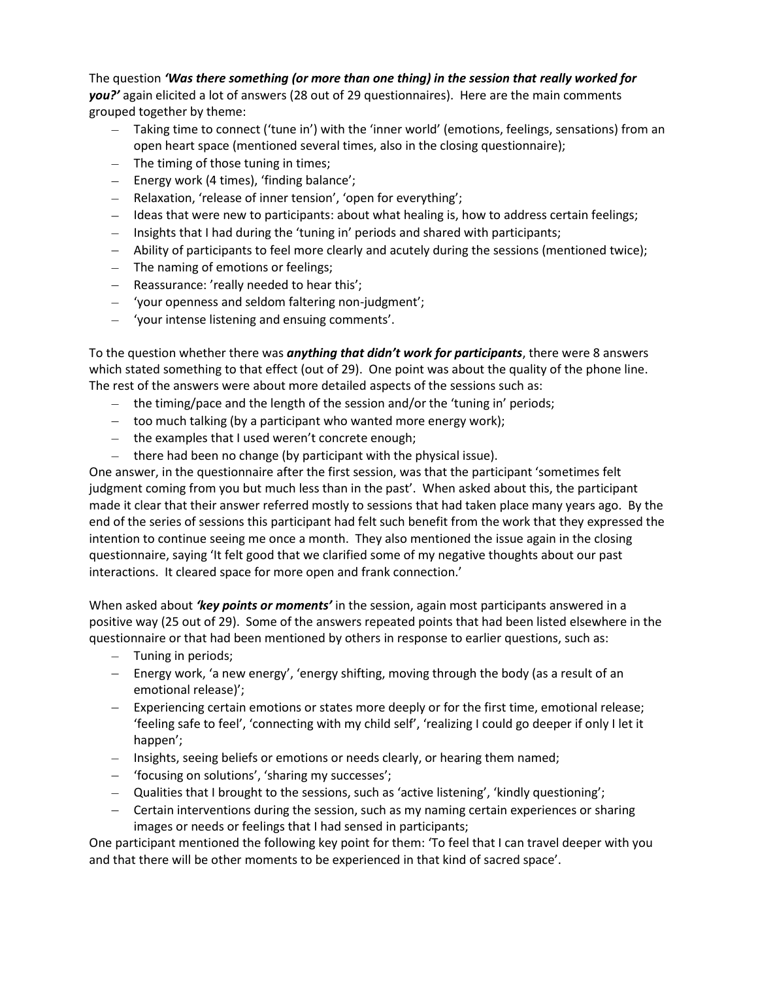The question *'Was there something (or more than one thing) in the session that really worked for you?'* again elicited a lot of answers (28 out of 29 questionnaires). Here are the main comments grouped together by theme:

- Taking time to connect ('tune in') with the 'inner world' (emotions, feelings, sensations) from an open heart space (mentioned several times, also in the closing questionnaire);
- $-$  The timing of those tuning in times;
- Energy work (4 times), 'finding balance';
- Relaxation, 'release of inner tension', 'open for everything';
- $-$  Ideas that were new to participants: about what healing is, how to address certain feelings;
- Insights that I had during the 'tuning in' periods and shared with participants;
- Ability of participants to feel more clearly and acutely during the sessions (mentioned twice);
- The naming of emotions or feelings;
- Reassurance: 'really needed to hear this';
- 'your openness and seldom faltering non-judgment';
- 'your intense listening and ensuing comments'.

To the question whether there was *anything that didn't work for participants*, there were 8 answers which stated something to that effect (out of 29). One point was about the quality of the phone line. The rest of the answers were about more detailed aspects of the sessions such as:

- $-$  the timing/pace and the length of the session and/or the 'tuning in' periods;
- $-$  too much talking (by a participant who wanted more energy work);
- $-$  the examples that I used weren't concrete enough;
- $-$  there had been no change (by participant with the physical issue).

One answer, in the questionnaire after the first session, was that the participant 'sometimes felt judgment coming from you but much less than in the past'. When asked about this, the participant made it clear that their answer referred mostly to sessions that had taken place many years ago. By the end of the series of sessions this participant had felt such benefit from the work that they expressed the intention to continue seeing me once a month. They also mentioned the issue again in the closing questionnaire, saying 'It felt good that we clarified some of my negative thoughts about our past interactions. It cleared space for more open and frank connection.'

When asked about *'key points or moments'* in the session, again most participants answered in a positive way (25 out of 29). Some of the answers repeated points that had been listed elsewhere in the questionnaire or that had been mentioned by others in response to earlier questions, such as:

- Tuning in periods;
- $-$  Energy work, 'a new energy', 'energy shifting, moving through the body (as a result of an emotional release)';
- Experiencing certain emotions or states more deeply or for the first time, emotional release; 'feeling safe to feel', 'connecting with my child self', 'realizing I could go deeper if only I let it happen';
- $-$  Insights, seeing beliefs or emotions or needs clearly, or hearing them named;
- 'focusing on solutions', 'sharing my successes';
- Qualities that I brought to the sessions, such as 'active listening', 'kindly questioning';
- Certain interventions during the session, such as my naming certain experiences or sharing images or needs or feelings that I had sensed in participants;

One participant mentioned the following key point for them: 'To feel that I can travel deeper with you and that there will be other moments to be experienced in that kind of sacred space'.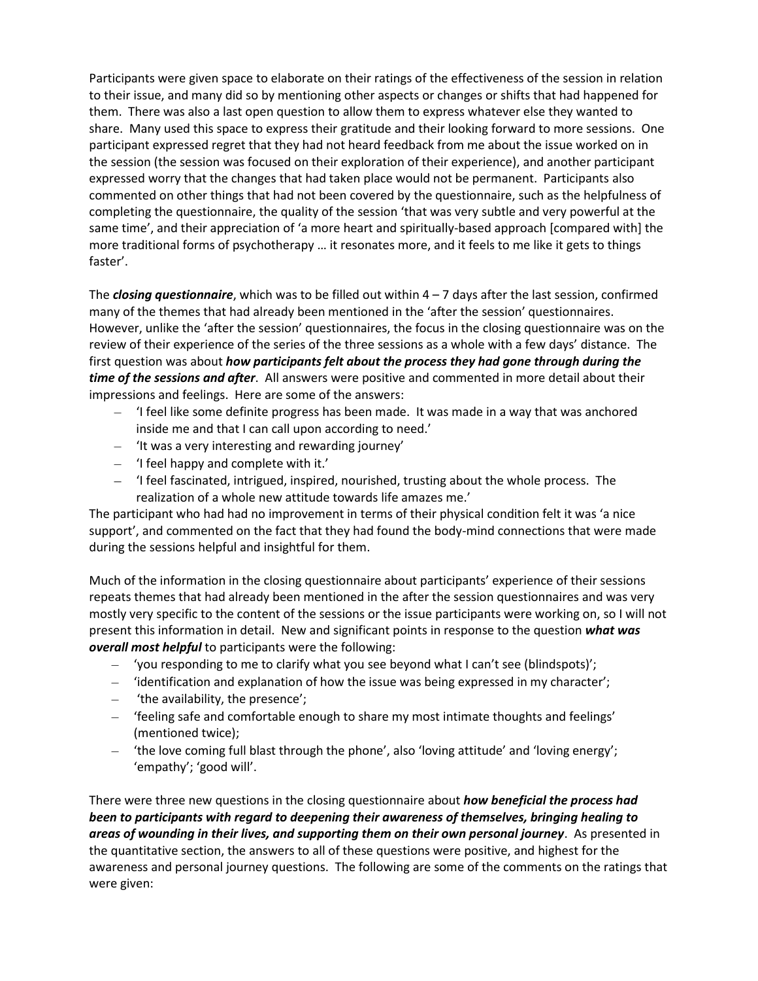Participants were given space to elaborate on their ratings of the effectiveness of the session in relation to their issue, and many did so by mentioning other aspects or changes or shifts that had happened for them. There was also a last open question to allow them to express whatever else they wanted to share. Many used this space to express their gratitude and their looking forward to more sessions. One participant expressed regret that they had not heard feedback from me about the issue worked on in the session (the session was focused on their exploration of their experience), and another participant expressed worry that the changes that had taken place would not be permanent. Participants also commented on other things that had not been covered by the questionnaire, such as the helpfulness of completing the questionnaire, the quality of the session 'that was very subtle and very powerful at the same time', and their appreciation of 'a more heart and spiritually-based approach [compared with] the more traditional forms of psychotherapy … it resonates more, and it feels to me like it gets to things faster'.

The *closing questionnaire*, which was to be filled out within 4 – 7 days after the last session, confirmed many of the themes that had already been mentioned in the 'after the session' questionnaires. However, unlike the 'after the session' questionnaires, the focus in the closing questionnaire was on the review of their experience of the series of the three sessions as a whole with a few days' distance. The first question was about *how participants felt about the process they had gone through during the time of the sessions and after*. All answers were positive and commented in more detail about their impressions and feelings. Here are some of the answers:

- $-$  'I feel like some definite progress has been made. It was made in a way that was anchored inside me and that I can call upon according to need.'
- $-$  'It was a very interesting and rewarding journey'
- 'I feel happy and complete with it.'
- $-$  'I feel fascinated, intrigued, inspired, nourished, trusting about the whole process. The realization of a whole new attitude towards life amazes me.'

The participant who had had no improvement in terms of their physical condition felt it was 'a nice support', and commented on the fact that they had found the body-mind connections that were made during the sessions helpful and insightful for them.

Much of the information in the closing questionnaire about participants' experience of their sessions repeats themes that had already been mentioned in the after the session questionnaires and was very mostly very specific to the content of the sessions or the issue participants were working on, so I will not present this information in detail. New and significant points in response to the question *what was overall most helpful* to participants were the following:

- 'you responding to me to clarify what you see beyond what I can't see (blindspots)';
- $-$  'identification and explanation of how the issue was being expressed in my character';
- $-$  'the availability, the presence';
- "feeling safe and comfortable enough to share my most intimate thoughts and feelings' (mentioned twice);
- 'the love coming full blast through the phone', also 'loving attitude' and 'loving energy'; 'empathy'; 'good will'.

There were three new questions in the closing questionnaire about *how beneficial the process had been to participants with regard to deepening their awareness of themselves, bringing healing to areas of wounding in their lives, and supporting them on their own personal journey*. As presented in the quantitative section, the answers to all of these questions were positive, and highest for the awareness and personal journey questions. The following are some of the comments on the ratings that were given: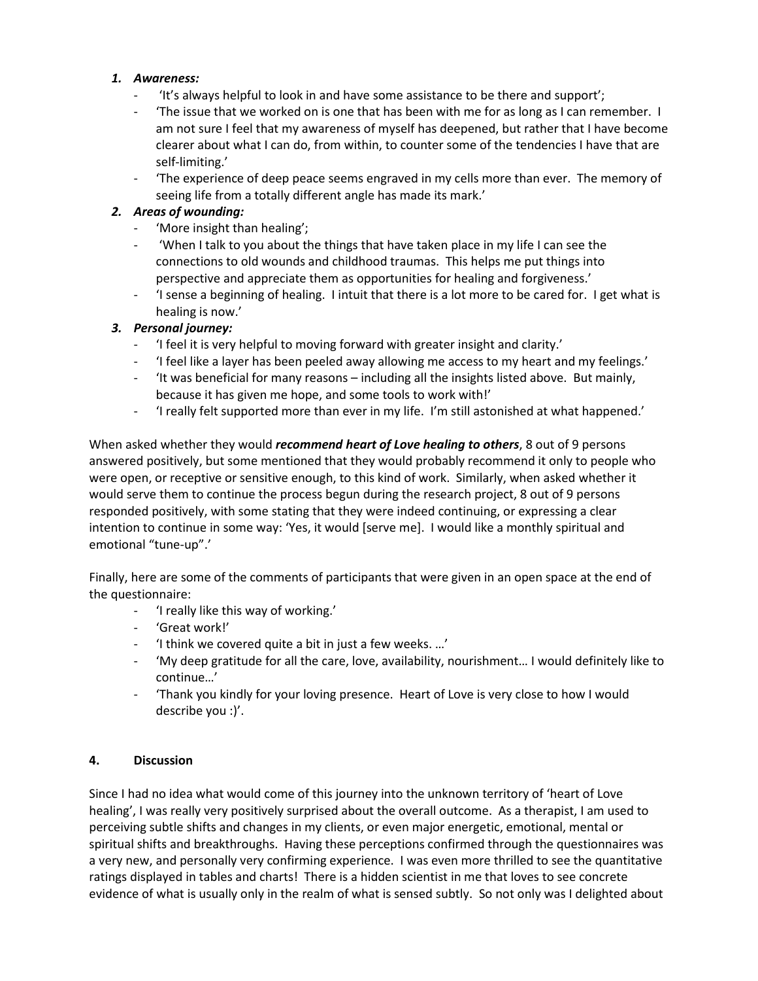### *1. Awareness:*

- 'It's always helpful to look in and have some assistance to be there and support';
- The issue that we worked on is one that has been with me for as long as I can remember. I am not sure I feel that my awareness of myself has deepened, but rather that I have become clearer about what I can do, from within, to counter some of the tendencies I have that are self-limiting.'
- 'The experience of deep peace seems engraved in my cells more than ever. The memory of seeing life from a totally different angle has made its mark.'

## *2. Areas of wounding:*

- 'More insight than healing';
- 'When I talk to you about the things that have taken place in my life I can see the connections to old wounds and childhood traumas. This helps me put things into perspective and appreciate them as opportunities for healing and forgiveness.'
- 'I sense a beginning of healing. I intuit that there is a lot more to be cared for. I get what is healing is now.'

## *3. Personal journey:*

- 'I feel it is very helpful to moving forward with greater insight and clarity.'
- 'I feel like a layer has been peeled away allowing me access to my heart and my feelings.'
- 'It was beneficial for many reasons including all the insights listed above. But mainly, because it has given me hope, and some tools to work with!'
- 'I really felt supported more than ever in my life. I'm still astonished at what happened.'

When asked whether they would *recommend heart of Love healing to others*, 8 out of 9 persons answered positively, but some mentioned that they would probably recommend it only to people who were open, or receptive or sensitive enough, to this kind of work. Similarly, when asked whether it would serve them to continue the process begun during the research project, 8 out of 9 persons responded positively, with some stating that they were indeed continuing, or expressing a clear intention to continue in some way: 'Yes, it would [serve me]. I would like a monthly spiritual and emotional "tune-up".'

Finally, here are some of the comments of participants that were given in an open space at the end of the questionnaire:

- 'I really like this way of working.'
- 'Great work!'
- 'I think we covered quite a bit in just a few weeks. …'
- 'My deep gratitude for all the care, love, availability, nourishment… I would definitely like to continue…'
- 'Thank you kindly for your loving presence. Heart of Love is very close to how I would describe you :)'.

#### **4. Discussion**

Since I had no idea what would come of this journey into the unknown territory of 'heart of Love healing', I was really very positively surprised about the overall outcome. As a therapist, I am used to perceiving subtle shifts and changes in my clients, or even major energetic, emotional, mental or spiritual shifts and breakthroughs. Having these perceptions confirmed through the questionnaires was a very new, and personally very confirming experience. I was even more thrilled to see the quantitative ratings displayed in tables and charts! There is a hidden scientist in me that loves to see concrete evidence of what is usually only in the realm of what is sensed subtly. So not only was I delighted about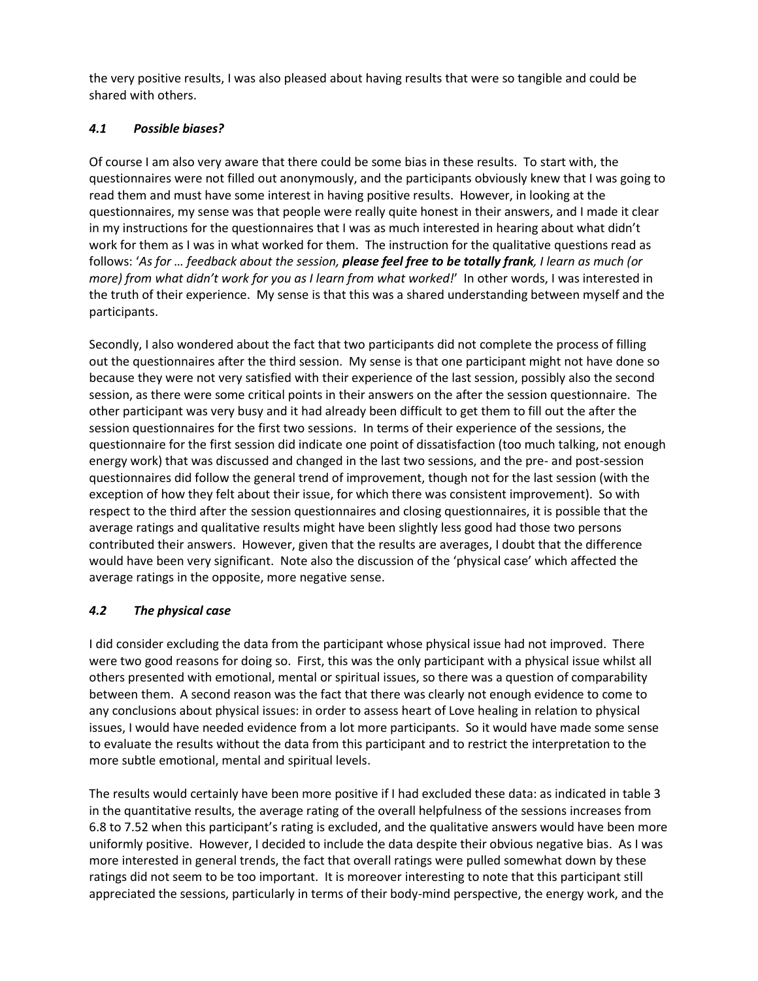the very positive results, I was also pleased about having results that were so tangible and could be shared with others.

# *4.1 Possible biases?*

Of course I am also very aware that there could be some bias in these results. To start with, the questionnaires were not filled out anonymously, and the participants obviously knew that I was going to read them and must have some interest in having positive results. However, in looking at the questionnaires, my sense was that people were really quite honest in their answers, and I made it clear in my instructions for the questionnaires that I was as much interested in hearing about what didn't work for them as I was in what worked for them. The instruction for the qualitative questions read as follows: '*As for … feedback about the session, please feel free to be totally frank, I learn as much (or more) from what didn't work for you as I learn from what worked!*' In other words, I was interested in the truth of their experience. My sense is that this was a shared understanding between myself and the participants.

Secondly, I also wondered about the fact that two participants did not complete the process of filling out the questionnaires after the third session. My sense is that one participant might not have done so because they were not very satisfied with their experience of the last session, possibly also the second session, as there were some critical points in their answers on the after the session questionnaire. The other participant was very busy and it had already been difficult to get them to fill out the after the session questionnaires for the first two sessions. In terms of their experience of the sessions, the questionnaire for the first session did indicate one point of dissatisfaction (too much talking, not enough energy work) that was discussed and changed in the last two sessions, and the pre- and post-session questionnaires did follow the general trend of improvement, though not for the last session (with the exception of how they felt about their issue, for which there was consistent improvement). So with respect to the third after the session questionnaires and closing questionnaires, it is possible that the average ratings and qualitative results might have been slightly less good had those two persons contributed their answers. However, given that the results are averages, I doubt that the difference would have been very significant. Note also the discussion of the 'physical case' which affected the average ratings in the opposite, more negative sense.

# *4.2 The physical case*

I did consider excluding the data from the participant whose physical issue had not improved. There were two good reasons for doing so. First, this was the only participant with a physical issue whilst all others presented with emotional, mental or spiritual issues, so there was a question of comparability between them. A second reason was the fact that there was clearly not enough evidence to come to any conclusions about physical issues: in order to assess heart of Love healing in relation to physical issues, I would have needed evidence from a lot more participants. So it would have made some sense to evaluate the results without the data from this participant and to restrict the interpretation to the more subtle emotional, mental and spiritual levels.

The results would certainly have been more positive if I had excluded these data: as indicated in table 3 in the quantitative results, the average rating of the overall helpfulness of the sessions increases from 6.8 to 7.52 when this participant's rating is excluded, and the qualitative answers would have been more uniformly positive. However, I decided to include the data despite their obvious negative bias. As I was more interested in general trends, the fact that overall ratings were pulled somewhat down by these ratings did not seem to be too important. It is moreover interesting to note that this participant still appreciated the sessions, particularly in terms of their body-mind perspective, the energy work, and the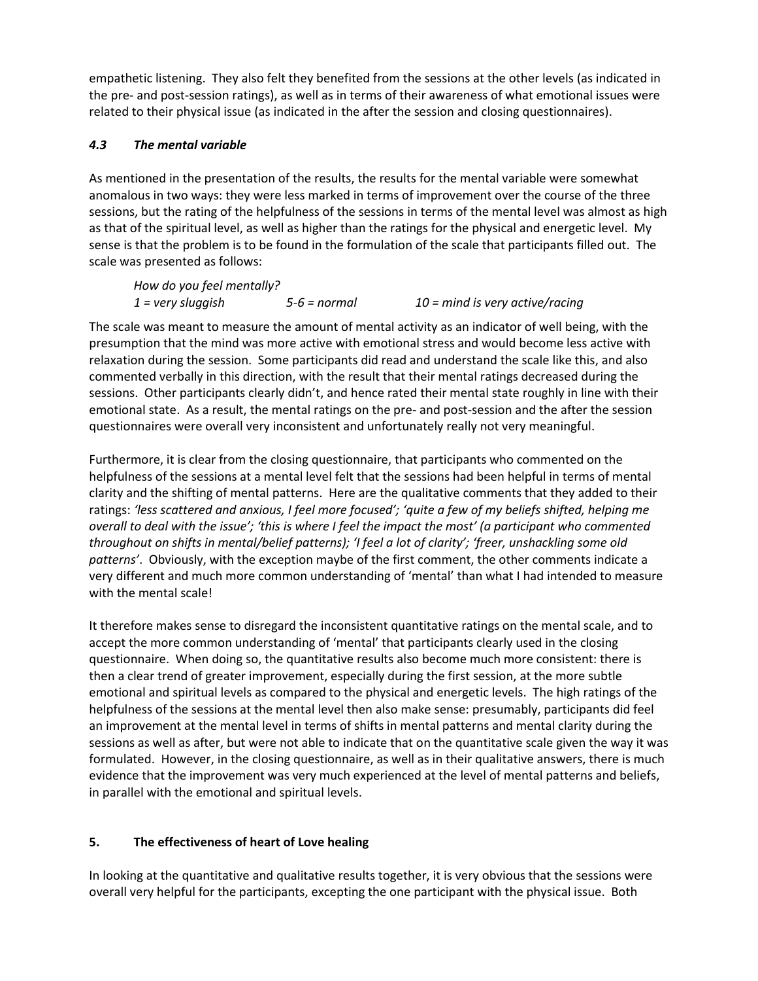empathetic listening. They also felt they benefited from the sessions at the other levels (as indicated in the pre- and post-session ratings), as well as in terms of their awareness of what emotional issues were related to their physical issue (as indicated in the after the session and closing questionnaires).

# *4.3 The mental variable*

As mentioned in the presentation of the results, the results for the mental variable were somewhat anomalous in two ways: they were less marked in terms of improvement over the course of the three sessions, but the rating of the helpfulness of the sessions in terms of the mental level was almost as high as that of the spiritual level, as well as higher than the ratings for the physical and energetic level. My sense is that the problem is to be found in the formulation of the scale that participants filled out. The scale was presented as follows:

| How do you feel mentally? |              |                                   |
|---------------------------|--------------|-----------------------------------|
| $1 =$ very sluggish       | 5-6 = normal | $10 =$ mind is very active/racing |

The scale was meant to measure the amount of mental activity as an indicator of well being, with the presumption that the mind was more active with emotional stress and would become less active with relaxation during the session. Some participants did read and understand the scale like this, and also commented verbally in this direction, with the result that their mental ratings decreased during the sessions. Other participants clearly didn't, and hence rated their mental state roughly in line with their emotional state. As a result, the mental ratings on the pre- and post-session and the after the session questionnaires were overall very inconsistent and unfortunately really not very meaningful.

Furthermore, it is clear from the closing questionnaire, that participants who commented on the helpfulness of the sessions at a mental level felt that the sessions had been helpful in terms of mental clarity and the shifting of mental patterns. Here are the qualitative comments that they added to their ratings: *'less scattered and anxious, I feel more focused'; 'quite a few of my beliefs shifted, helping me overall to deal with the issue'; 'this is where I feel the impact the most' (a participant who commented throughout on shifts in mental/belief patterns); 'I feel a lot of clarity'; 'freer, unshackling some old patterns'*. Obviously, with the exception maybe of the first comment, the other comments indicate a very different and much more common understanding of 'mental' than what I had intended to measure with the mental scale!

It therefore makes sense to disregard the inconsistent quantitative ratings on the mental scale, and to accept the more common understanding of 'mental' that participants clearly used in the closing questionnaire. When doing so, the quantitative results also become much more consistent: there is then a clear trend of greater improvement, especially during the first session, at the more subtle emotional and spiritual levels as compared to the physical and energetic levels. The high ratings of the helpfulness of the sessions at the mental level then also make sense: presumably, participants did feel an improvement at the mental level in terms of shifts in mental patterns and mental clarity during the sessions as well as after, but were not able to indicate that on the quantitative scale given the way it was formulated. However, in the closing questionnaire, as well as in their qualitative answers, there is much evidence that the improvement was very much experienced at the level of mental patterns and beliefs, in parallel with the emotional and spiritual levels.

# **5. The effectiveness of heart of Love healing**

In looking at the quantitative and qualitative results together, it is very obvious that the sessions were overall very helpful for the participants, excepting the one participant with the physical issue. Both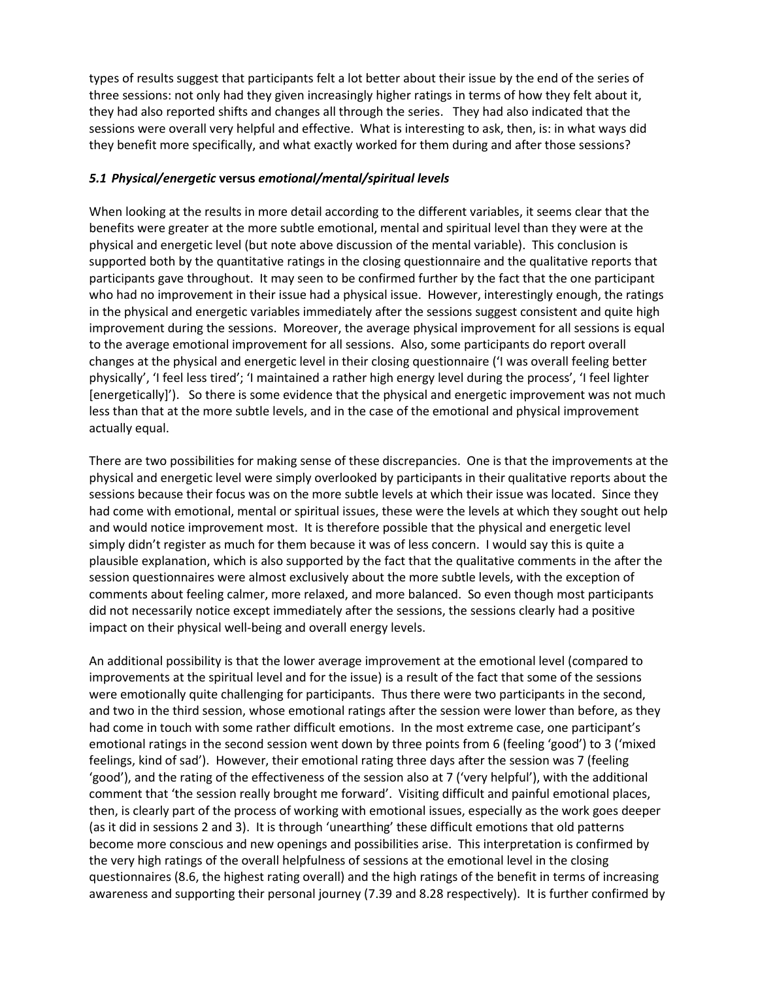types of results suggest that participants felt a lot better about their issue by the end of the series of three sessions: not only had they given increasingly higher ratings in terms of how they felt about it, they had also reported shifts and changes all through the series. They had also indicated that the sessions were overall very helpful and effective. What is interesting to ask, then, is: in what ways did they benefit more specifically, and what exactly worked for them during and after those sessions?

#### *5.1 Physical/energetic* **versus** *emotional/mental/spiritual levels*

When looking at the results in more detail according to the different variables, it seems clear that the benefits were greater at the more subtle emotional, mental and spiritual level than they were at the physical and energetic level (but note above discussion of the mental variable). This conclusion is supported both by the quantitative ratings in the closing questionnaire and the qualitative reports that participants gave throughout. It may seen to be confirmed further by the fact that the one participant who had no improvement in their issue had a physical issue. However, interestingly enough, the ratings in the physical and energetic variables immediately after the sessions suggest consistent and quite high improvement during the sessions. Moreover, the average physical improvement for all sessions is equal to the average emotional improvement for all sessions. Also, some participants do report overall changes at the physical and energetic level in their closing questionnaire ('I was overall feeling better physically', 'I feel less tired'; 'I maintained a rather high energy level during the process', 'I feel lighter [energetically]'). So there is some evidence that the physical and energetic improvement was not much less than that at the more subtle levels, and in the case of the emotional and physical improvement actually equal.

There are two possibilities for making sense of these discrepancies. One is that the improvements at the physical and energetic level were simply overlooked by participants in their qualitative reports about the sessions because their focus was on the more subtle levels at which their issue was located. Since they had come with emotional, mental or spiritual issues, these were the levels at which they sought out help and would notice improvement most. It is therefore possible that the physical and energetic level simply didn't register as much for them because it was of less concern. I would say this is quite a plausible explanation, which is also supported by the fact that the qualitative comments in the after the session questionnaires were almost exclusively about the more subtle levels, with the exception of comments about feeling calmer, more relaxed, and more balanced. So even though most participants did not necessarily notice except immediately after the sessions, the sessions clearly had a positive impact on their physical well-being and overall energy levels.

An additional possibility is that the lower average improvement at the emotional level (compared to improvements at the spiritual level and for the issue) is a result of the fact that some of the sessions were emotionally quite challenging for participants. Thus there were two participants in the second, and two in the third session, whose emotional ratings after the session were lower than before, as they had come in touch with some rather difficult emotions. In the most extreme case, one participant's emotional ratings in the second session went down by three points from 6 (feeling 'good') to 3 ('mixed feelings, kind of sad'). However, their emotional rating three days after the session was 7 (feeling 'good'), and the rating of the effectiveness of the session also at 7 ('very helpful'), with the additional comment that 'the session really brought me forward'. Visiting difficult and painful emotional places, then, is clearly part of the process of working with emotional issues, especially as the work goes deeper (as it did in sessions 2 and 3). It is through 'unearthing' these difficult emotions that old patterns become more conscious and new openings and possibilities arise. This interpretation is confirmed by the very high ratings of the overall helpfulness of sessions at the emotional level in the closing questionnaires (8.6, the highest rating overall) and the high ratings of the benefit in terms of increasing awareness and supporting their personal journey (7.39 and 8.28 respectively). It is further confirmed by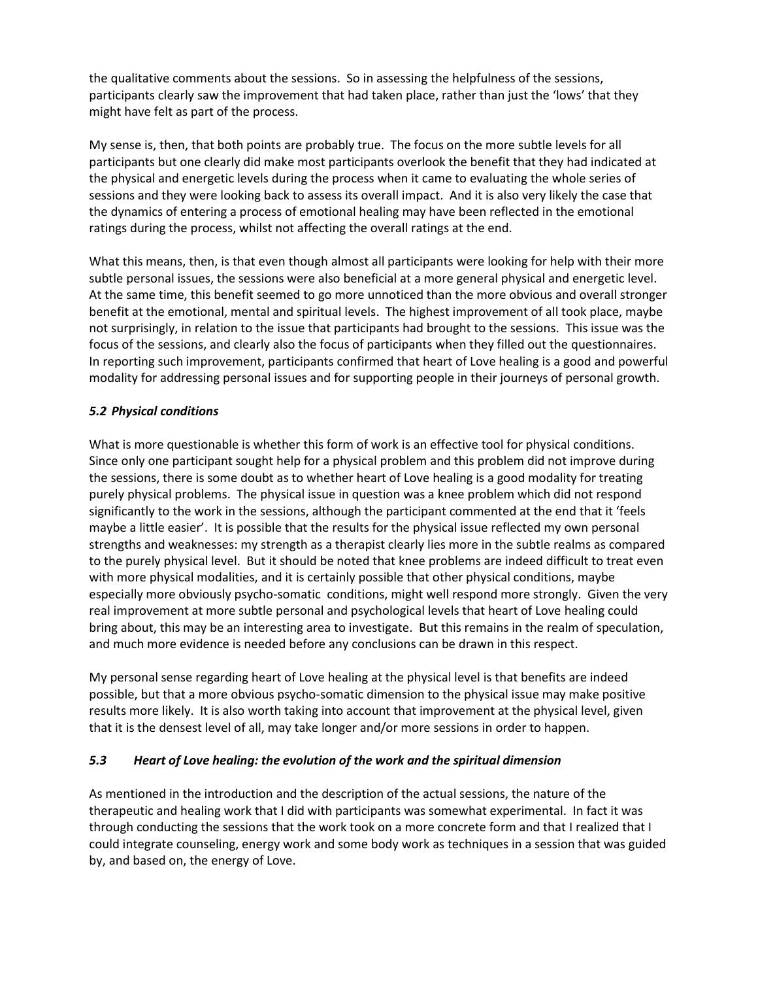the qualitative comments about the sessions. So in assessing the helpfulness of the sessions, participants clearly saw the improvement that had taken place, rather than just the 'lows' that they might have felt as part of the process.

My sense is, then, that both points are probably true. The focus on the more subtle levels for all participants but one clearly did make most participants overlook the benefit that they had indicated at the physical and energetic levels during the process when it came to evaluating the whole series of sessions and they were looking back to assess its overall impact. And it is also very likely the case that the dynamics of entering a process of emotional healing may have been reflected in the emotional ratings during the process, whilst not affecting the overall ratings at the end.

What this means, then, is that even though almost all participants were looking for help with their more subtle personal issues, the sessions were also beneficial at a more general physical and energetic level. At the same time, this benefit seemed to go more unnoticed than the more obvious and overall stronger benefit at the emotional, mental and spiritual levels. The highest improvement of all took place, maybe not surprisingly, in relation to the issue that participants had brought to the sessions. This issue was the focus of the sessions, and clearly also the focus of participants when they filled out the questionnaires. In reporting such improvement, participants confirmed that heart of Love healing is a good and powerful modality for addressing personal issues and for supporting people in their journeys of personal growth.

### *5.2 Physical conditions*

What is more questionable is whether this form of work is an effective tool for physical conditions. Since only one participant sought help for a physical problem and this problem did not improve during the sessions, there is some doubt as to whether heart of Love healing is a good modality for treating purely physical problems. The physical issue in question was a knee problem which did not respond significantly to the work in the sessions, although the participant commented at the end that it 'feels maybe a little easier'. It is possible that the results for the physical issue reflected my own personal strengths and weaknesses: my strength as a therapist clearly lies more in the subtle realms as compared to the purely physical level. But it should be noted that knee problems are indeed difficult to treat even with more physical modalities, and it is certainly possible that other physical conditions, maybe especially more obviously psycho-somatic conditions, might well respond more strongly. Given the very real improvement at more subtle personal and psychological levels that heart of Love healing could bring about, this may be an interesting area to investigate. But this remains in the realm of speculation, and much more evidence is needed before any conclusions can be drawn in this respect.

My personal sense regarding heart of Love healing at the physical level is that benefits are indeed possible, but that a more obvious psycho-somatic dimension to the physical issue may make positive results more likely. It is also worth taking into account that improvement at the physical level, given that it is the densest level of all, may take longer and/or more sessions in order to happen.

## *5.3 Heart of Love healing: the evolution of the work and the spiritual dimension*

As mentioned in the introduction and the description of the actual sessions, the nature of the therapeutic and healing work that I did with participants was somewhat experimental. In fact it was through conducting the sessions that the work took on a more concrete form and that I realized that I could integrate counseling, energy work and some body work as techniques in a session that was guided by, and based on, the energy of Love.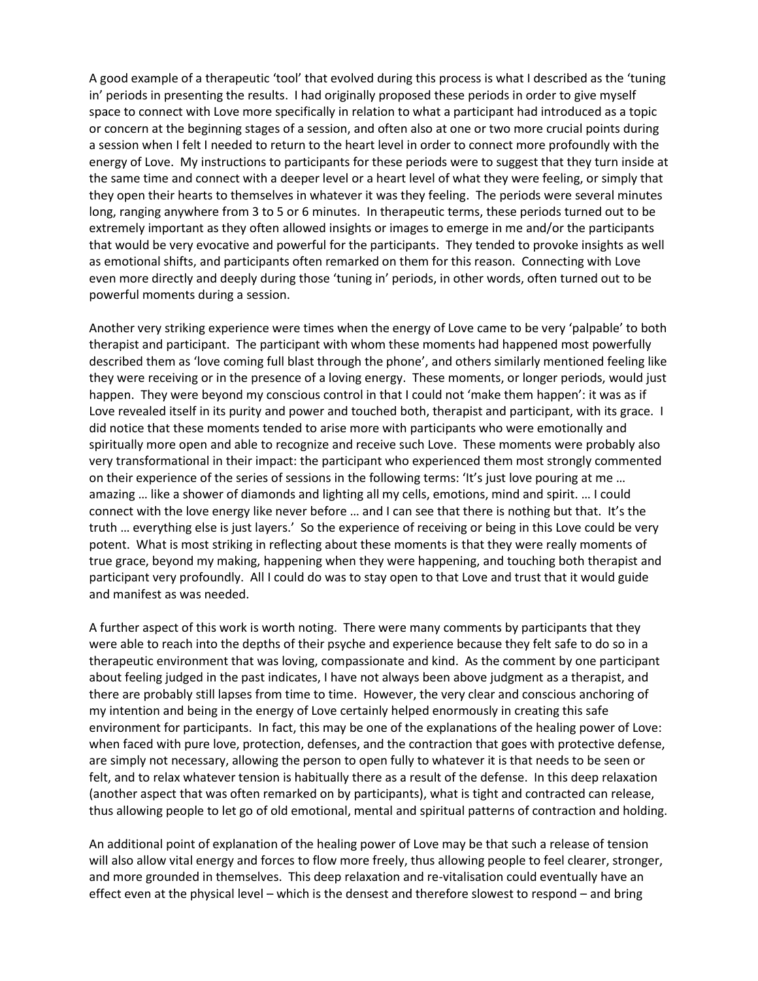A good example of a therapeutic 'tool' that evolved during this process is what I described as the 'tuning in' periods in presenting the results. I had originally proposed these periods in order to give myself space to connect with Love more specifically in relation to what a participant had introduced as a topic or concern at the beginning stages of a session, and often also at one or two more crucial points during a session when I felt I needed to return to the heart level in order to connect more profoundly with the energy of Love. My instructions to participants for these periods were to suggest that they turn inside at the same time and connect with a deeper level or a heart level of what they were feeling, or simply that they open their hearts to themselves in whatever it was they feeling. The periods were several minutes long, ranging anywhere from 3 to 5 or 6 minutes. In therapeutic terms, these periods turned out to be extremely important as they often allowed insights or images to emerge in me and/or the participants that would be very evocative and powerful for the participants. They tended to provoke insights as well as emotional shifts, and participants often remarked on them for this reason. Connecting with Love even more directly and deeply during those 'tuning in' periods, in other words, often turned out to be powerful moments during a session.

Another very striking experience were times when the energy of Love came to be very 'palpable' to both therapist and participant. The participant with whom these moments had happened most powerfully described them as 'love coming full blast through the phone', and others similarly mentioned feeling like they were receiving or in the presence of a loving energy. These moments, or longer periods, would just happen. They were beyond my conscious control in that I could not 'make them happen': it was as if Love revealed itself in its purity and power and touched both, therapist and participant, with its grace. I did notice that these moments tended to arise more with participants who were emotionally and spiritually more open and able to recognize and receive such Love. These moments were probably also very transformational in their impact: the participant who experienced them most strongly commented on their experience of the series of sessions in the following terms: 'It's just love pouring at me … amazing … like a shower of diamonds and lighting all my cells, emotions, mind and spirit. … I could connect with the love energy like never before … and I can see that there is nothing but that. It's the truth … everything else is just layers.' So the experience of receiving or being in this Love could be very potent. What is most striking in reflecting about these moments is that they were really moments of true grace, beyond my making, happening when they were happening, and touching both therapist and participant very profoundly. All I could do was to stay open to that Love and trust that it would guide and manifest as was needed.

A further aspect of this work is worth noting. There were many comments by participants that they were able to reach into the depths of their psyche and experience because they felt safe to do so in a therapeutic environment that was loving, compassionate and kind. As the comment by one participant about feeling judged in the past indicates, I have not always been above judgment as a therapist, and there are probably still lapses from time to time. However, the very clear and conscious anchoring of my intention and being in the energy of Love certainly helped enormously in creating this safe environment for participants. In fact, this may be one of the explanations of the healing power of Love: when faced with pure love, protection, defenses, and the contraction that goes with protective defense, are simply not necessary, allowing the person to open fully to whatever it is that needs to be seen or felt, and to relax whatever tension is habitually there as a result of the defense. In this deep relaxation (another aspect that was often remarked on by participants), what is tight and contracted can release, thus allowing people to let go of old emotional, mental and spiritual patterns of contraction and holding.

An additional point of explanation of the healing power of Love may be that such a release of tension will also allow vital energy and forces to flow more freely, thus allowing people to feel clearer, stronger, and more grounded in themselves. This deep relaxation and re-vitalisation could eventually have an effect even at the physical level – which is the densest and therefore slowest to respond – and bring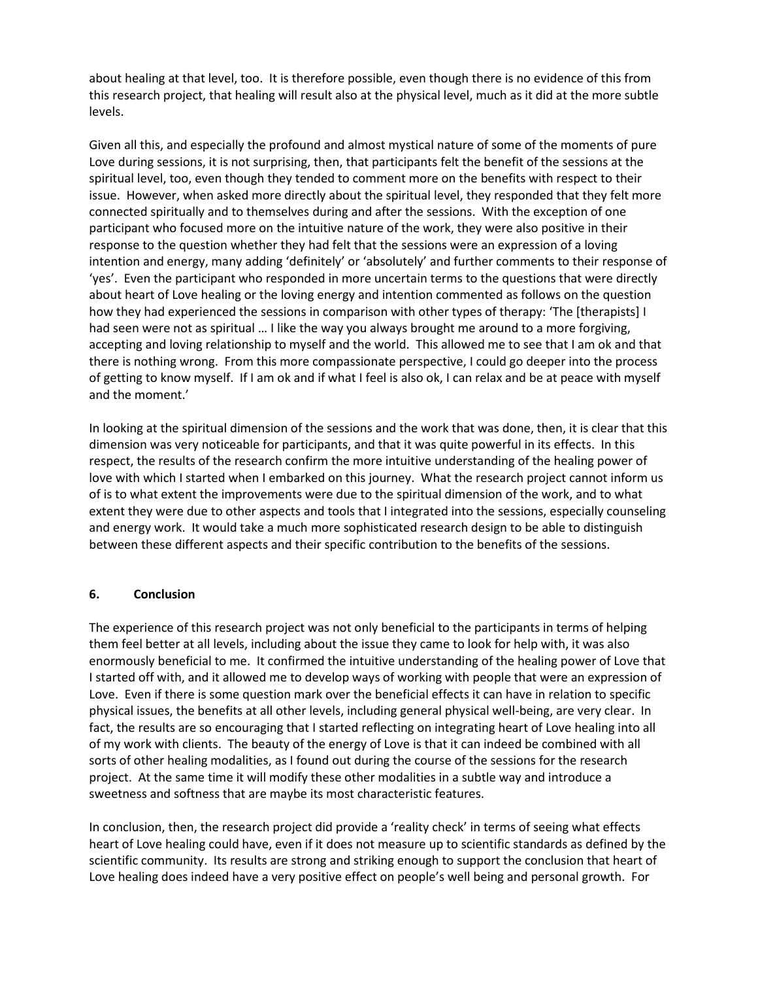about healing at that level, too. It is therefore possible, even though there is no evidence of this from this research project, that healing will result also at the physical level, much as it did at the more subtle levels.

Given all this, and especially the profound and almost mystical nature of some of the moments of pure Love during sessions, it is not surprising, then, that participants felt the benefit of the sessions at the spiritual level, too, even though they tended to comment more on the benefits with respect to their issue. However, when asked more directly about the spiritual level, they responded that they felt more connected spiritually and to themselves during and after the sessions. With the exception of one participant who focused more on the intuitive nature of the work, they were also positive in their response to the question whether they had felt that the sessions were an expression of a loving intention and energy, many adding 'definitely' or 'absolutely' and further comments to their response of 'yes'. Even the participant who responded in more uncertain terms to the questions that were directly about heart of Love healing or the loving energy and intention commented as follows on the question how they had experienced the sessions in comparison with other types of therapy: 'The [therapists] I had seen were not as spiritual … I like the way you always brought me around to a more forgiving, accepting and loving relationship to myself and the world. This allowed me to see that I am ok and that there is nothing wrong. From this more compassionate perspective, I could go deeper into the process of getting to know myself. If I am ok and if what I feel is also ok, I can relax and be at peace with myself and the moment.'

In looking at the spiritual dimension of the sessions and the work that was done, then, it is clear that this dimension was very noticeable for participants, and that it was quite powerful in its effects. In this respect, the results of the research confirm the more intuitive understanding of the healing power of love with which I started when I embarked on this journey. What the research project cannot inform us of is to what extent the improvements were due to the spiritual dimension of the work, and to what extent they were due to other aspects and tools that I integrated into the sessions, especially counseling and energy work. It would take a much more sophisticated research design to be able to distinguish between these different aspects and their specific contribution to the benefits of the sessions.

#### **6. Conclusion**

The experience of this research project was not only beneficial to the participants in terms of helping them feel better at all levels, including about the issue they came to look for help with, it was also enormously beneficial to me. It confirmed the intuitive understanding of the healing power of Love that I started off with, and it allowed me to develop ways of working with people that were an expression of Love. Even if there is some question mark over the beneficial effects it can have in relation to specific physical issues, the benefits at all other levels, including general physical well-being, are very clear. In fact, the results are so encouraging that I started reflecting on integrating heart of Love healing into all of my work with clients. The beauty of the energy of Love is that it can indeed be combined with all sorts of other healing modalities, as I found out during the course of the sessions for the research project. At the same time it will modify these other modalities in a subtle way and introduce a sweetness and softness that are maybe its most characteristic features.

In conclusion, then, the research project did provide a 'reality check' in terms of seeing what effects heart of Love healing could have, even if it does not measure up to scientific standards as defined by the scientific community. Its results are strong and striking enough to support the conclusion that heart of Love healing does indeed have a very positive effect on people's well being and personal growth. For